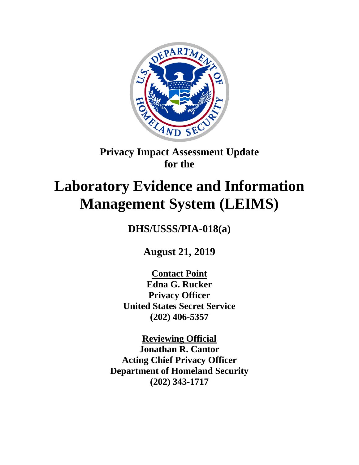

## **Privacy Impact Assessment Update for the**

# **Laboratory Evidence and Information Management System (LEIMS)**

**DHS/USSS/PIA-018(a)**

**August 21, 2019**

**Contact Point Edna G. Rucker Privacy Officer United States Secret Service (202) 406-5357**

**Reviewing Official Jonathan R. Cantor Acting Chief Privacy Officer Department of Homeland Security (202) 343-1717**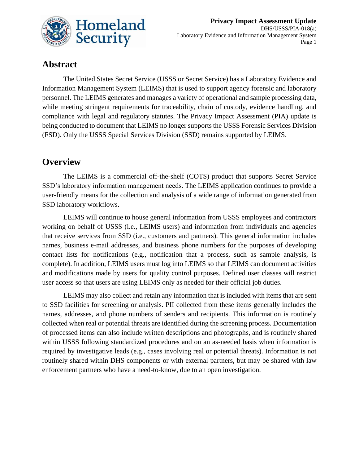

## **Abstract**

The United States Secret Service (USSS or Secret Service) has a Laboratory Evidence and Information Management System (LEIMS) that is used to support agency forensic and laboratory personnel. The LEIMS generates and manages a variety of operational and sample processing data, while meeting stringent requirements for traceability, chain of custody, evidence handling, and compliance with legal and regulatory statutes. The Privacy Impact Assessment (PIA) update is being conducted to document that LEIMS no longer supports the USSS Forensic Services Division (FSD). Only the USSS Special Services Division (SSD) remains supported by LEIMS.

## **Overview**

The LEIMS is a commercial off-the-shelf (COTS) product that supports Secret Service SSD's laboratory information management needs. The LEIMS application continues to provide a user-friendly means for the collection and analysis of a wide range of information generated from SSD laboratory workflows.

LEIMS will continue to house general information from USSS employees and contractors working on behalf of USSS (i.e., LEIMS users) and information from individuals and agencies that receive services from SSD (i.e., customers and partners). This general information includes names, business e-mail addresses, and business phone numbers for the purposes of developing contact lists for notifications (e.g*.,* notification that a process, such as sample analysis, is complete). In addition, LEIMS users must log into LEIMS so that LEIMS can document activities and modifications made by users for quality control purposes. Defined user classes will restrict user access so that users are using LEIMS only as needed for their official job duties.

LEIMS may also collect and retain any information that is included with items that are sent to SSD facilities for screening or analysis. PII collected from these items generally includes the names, addresses, and phone numbers of senders and recipients. This information is routinely collected when real or potential threats are identified during the screening process. Documentation of processed items can also include written descriptions and photographs, and is routinely shared within USSS following standardized procedures and on an as-needed basis when information is required by investigative leads (e.g., cases involving real or potential threats). Information is not routinely shared within DHS components or with external partners, but may be shared with law enforcement partners who have a need-to-know, due to an open investigation.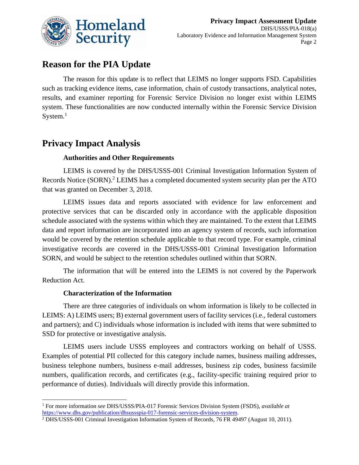

## **Reason for the PIA Update**

The reason for this update is to reflect that LEIMS no longer supports FSD. Capabilities such as tracking evidence items, case information, chain of custody transactions, analytical notes, results, and examiner reporting for Forensic Service Division no longer exist within LEIMS system. These functionalities are now conducted internally within the Forensic Service Division System. $<sup>1</sup>$ </sup>

## **Privacy Impact Analysis**

#### **Authorities and Other Requirements**

LEIMS is covered by the DHS/USSS-001 Criminal Investigation Information System of Records Notice (SORN).<sup>2</sup> LEIMS has a completed documented system security plan per the ATO that was granted on December 3, 2018.

LEIMS issues data and reports associated with evidence for law enforcement and protective services that can be discarded only in accordance with the applicable disposition schedule associated with the systems within which they are maintained. To the extent that LEIMS data and report information are incorporated into an agency system of records, such information would be covered by the retention schedule applicable to that record type. For example, criminal investigative records are covered in the DHS/USSS-001 Criminal Investigation Information SORN, and would be subject to the retention schedules outlined within that SORN.

The information that will be entered into the LEIMS is not covered by the Paperwork Reduction Act.

#### **Characterization of the Information**

 $\overline{\phantom{a}}$ 

There are three categories of individuals on whom information is likely to be collected in LEIMS: A) LEIMS users; B) external government users of facility services (i.e., federal customers and partners); and C) individuals whose information is included with items that were submitted to SSD for protective or investigative analysis.

LEIMS users include USSS employees and contractors working on behalf of USSS. Examples of potential PII collected for this category include names, business mailing addresses, business telephone numbers, business e-mail addresses, business zip codes, business facsimile numbers, qualification records, and certificates (e.g., facility-specific training required prior to performance of duties). Individuals will directly provide this information.

<sup>1</sup> For more information *see* DHS/USSS/PIA-017 Forensic Services Division System (FSDS), *available at* [https://www.dhs.gov/publication/dhsussspia-017-forensic-services-division-system.](https://www.dhs.gov/publication/dhsussspia-017-forensic-services-division-system)

<sup>&</sup>lt;sup>2</sup> DHS/USSS-001 Criminal Investigation Information System of Records, 76 FR 49497 (August 10, 2011).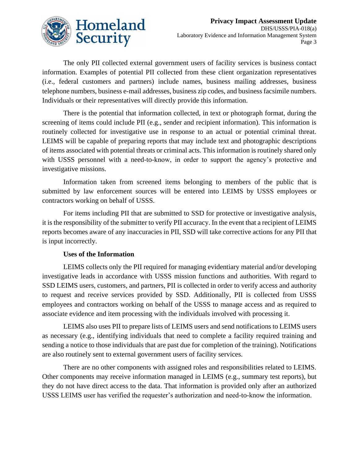

The only PII collected external government users of facility services is business contact information. Examples of potential PII collected from these client organization representatives (i.e., federal customers and partners) include names, business mailing addresses, business telephone numbers, business e-mail addresses, business zip codes, and business facsimile numbers. Individuals or their representatives will directly provide this information.

There is the potential that information collected, in text or photograph format, during the screening of items could include PII (e.g., sender and recipient information). This information is routinely collected for investigative use in response to an actual or potential criminal threat. LEIMS will be capable of preparing reports that may include text and photographic descriptions of items associated with potential threats or criminal acts. This information is routinely shared only with USSS personnel with a need-to-know, in order to support the agency's protective and investigative missions.

Information taken from screened items belonging to members of the public that is submitted by law enforcement sources will be entered into LEIMS by USSS employees or contractors working on behalf of USSS.

For items including PII that are submitted to SSD for protective or investigative analysis, it is the responsibility of the submitter to verify PII accuracy. In the event that a recipient of LEIMS reports becomes aware of any inaccuracies in PII, SSD will take corrective actions for any PII that is input incorrectly.

#### **Uses of the Information**

LEIMS collects only the PII required for managing evidentiary material and/or developing investigative leads in accordance with USSS mission functions and authorities. With regard to SSD LEIMS users, customers, and partners, PII is collected in order to verify access and authority to request and receive services provided by SSD. Additionally, PII is collected from USSS employees and contractors working on behalf of the USSS to manage access and as required to associate evidence and item processing with the individuals involved with processing it.

LEIMS also uses PII to prepare lists of LEIMS users and send notifications to LEIMS users as necessary (e.g., identifying individuals that need to complete a facility required training and sending a notice to those individuals that are past due for completion of the training). Notifications are also routinely sent to external government users of facility services.

There are no other components with assigned roles and responsibilities related to LEIMS. Other components may receive information managed in LEIMS (e.g., summary test reports), but they do not have direct access to the data. That information is provided only after an authorized USSS LEIMS user has verified the requester's authorization and need-to-know the information.